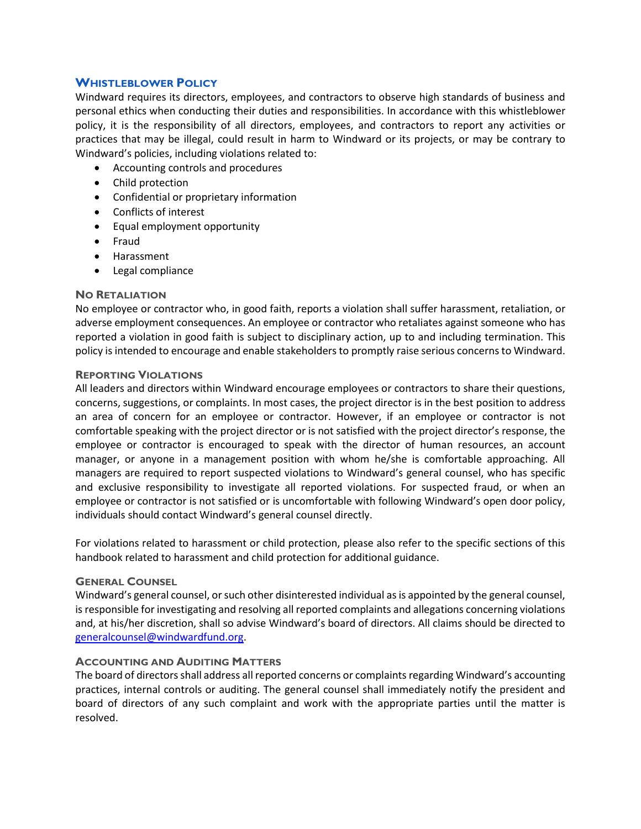# **WHISTLEBLOWER POLICY**

Windward requires its directors, employees, and contractors to observe high standards of business and personal ethics when conducting their duties and responsibilities. In accordance with this whistleblower policy, it is the responsibility of all directors, employees, and contractors to report any activities or practices that may be illegal, could result in harm to Windward or its projects, or may be contrary to Windward's policies, including violations related to:

- Accounting controls and procedures
- Child protection
- Confidential or proprietary information
- Conflicts of interest
- Equal employment opportunity
- Fraud
- Harassment
- Legal compliance

### **NO RETALIATION**

No employee or contractor who, in good faith, reports a violation shall suffer harassment, retaliation, or adverse employment consequences. An employee or contractor who retaliates against someone who has reported a violation in good faith is subject to disciplinary action, up to and including termination. This policy is intended to encourage and enable stakeholders to promptly raise serious concerns to Windward.

### **REPORTING VIOLATIONS**

All leaders and directors within Windward encourage employees or contractors to share their questions, concerns, suggestions, or complaints. In most cases, the project director is in the best position to address an area of concern for an employee or contractor. However, if an employee or contractor is not comfortable speaking with the project director or is not satisfied with the project director's response, the employee or contractor is encouraged to speak with the director of human resources, an account manager, or anyone in a management position with whom he/she is comfortable approaching. All managers are required to report suspected violations to Windward's general counsel, who has specific and exclusive responsibility to investigate all reported violations. For suspected fraud, or when an employee or contractor is not satisfied or is uncomfortable with following Windward's open door policy, individuals should contact Windward's general counsel directly.

For violations related to harassment or child protection, please also refer to the specific sections of this handbook related to harassment and child protection for additional guidance.

## **GENERAL COUNSEL**

Windward's general counsel, or such other disinterested individual as is appointed by the general counsel, is responsible for investigating and resolving all reported complaints and allegations concerning violations and, at his/her discretion, shall so advise Windward's board of directors. All claims should be directed to [generalcounsel@windwardfund.org.](mailto:generalcounsel@hopewellfund.org)

# **ACCOUNTING AND AUDITING MATTERS**

The board of directors shall address all reported concerns or complaints regarding Windward's accounting practices, internal controls or auditing. The general counsel shall immediately notify the president and board of directors of any such complaint and work with the appropriate parties until the matter is resolved.